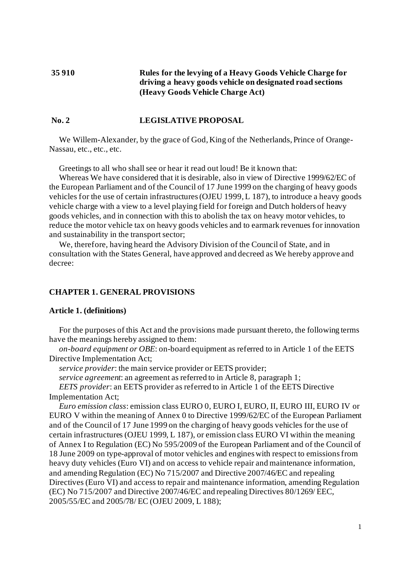# **35 910 Rules for the levying of a Heavy Goods Vehicle Charge for driving a heavy goods vehicle on designated road sections (Heavy Goods Vehicle Charge Act)**

# **No. 2 LEGISLATIVE PROPOSAL**

We Willem-Alexander, by the grace of God, King of the Netherlands, Prince of Orange-Nassau, etc., etc., etc.

Greetings to all who shall see or hear it read out loud! Be it known that:

Whereas We have considered that it is desirable, also in view of Directive 1999/62/EC of the European Parliament and of the Council of 17 June 1999 on the charging of heavy goods vehicles for the use of certain infrastructures (OJEU 1999, L 187), to introduce a heavy goods vehicle charge with a view to a level playing field for foreign and Dutch holders of heavy goods vehicles, and in connection with this to abolish the tax on heavy motor vehicles, to reduce the motor vehicle tax on heavy goods vehicles and to earmark revenues for innovation and sustainability in the transport sector;

We, therefore, having heard the Advisory Division of the Council of State, and in consultation with the States General, have approved and decreed as We hereby approve and decree:

## **CHAPTER 1. GENERAL PROVISIONS**

## **Article 1. (definitions)**

For the purposes of this Act and the provisions made pursuant thereto, the following terms have the meanings hereby assigned to them:

*on-board equipment or OBE*: on-board equipment as referred to in Article 1 of the EETS Directive Implementation Act;

*service provider*: the main service provider or EETS provider;

*service agreement*: an agreement as referred to in Article 8, paragraph 1;

*EETS provider*: an EETS provider as referred to in Article 1 of the EETS Directive Implementation Act;

*Euro emission class*: emission class EURO 0, EURO I, EURO, II, EURO III, EURO IV or EURO V within the meaning of Annex 0 to Directive 1999/62/EC of the European Parliament and of the Council of 17 June 1999 on the charging of heavy goods vehicles for the use of certain infrastructures (OJEU 1999, L 187), or emission class EURO VI within the meaning of Annex I to Regulation (EC) No 595/2009 of the European Parliament and of the Council of 18 June 2009 on type-approval of motor vehicles and engines with respect to emissions from heavy duty vehicles (Euro VI) and on access to vehicle repair and maintenance information, and amending Regulation (EC) No 715/2007 and Directive 2007/46/EC and repealing Directives (Euro VI) and access to repair and maintenance information, amending Regulation (EC) No 715/2007 and Directive 2007/46/EC and repealing Directives 80/1269/ EEC, 2005/55/EC and 2005/78/ EC (OJEU 2009, L 188);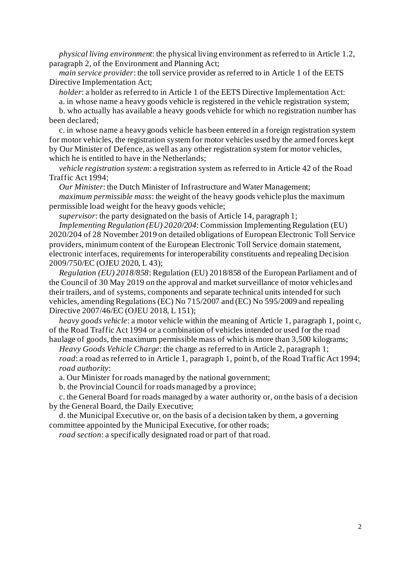*physical living environment*: the physical living environment as referred to in Article 1.2, paragraph 2, of the Environment and Planning Act;

*main service provider*: the toll service provider as referred to in Article 1 of the EETS Directive Implementation Act;

*holder*: a holder as referred to in Article 1 of the EETS Directive Implementation Act:

a. in whose name a heavy goods vehicle is registered in the vehicle registration system;

b. who actually has available a heavy goods vehicle for which no registration number has been declared;

c. in whose name a heavy goods vehicle has been entered in a foreign registration system for motor vehicles, the registration system for motor vehicles used by the armed forces kept by Our Minister of Defence, as well as any other registration system for motor vehicles, which he is entitled to have in the Netherlands;

*vehicle registration system*: a registration system as referred to in Article 42 of the Road Traffic Act 1994;

*Our Minister*: the Dutch Minister of Infrastructure and Water Management;

*maximum permissible mass*: the weight of the heavy goods vehicle plus the maximum permissible load weight for the heavy goods vehicle;

*supervisor*: the party designated on the basis of Article 14, paragraph 1;

*Implementing Regulation (EU) 2020/204*: Commission Implementing Regulation (EU) 2020/204 of 28 November 2019 on detailed obligations of European Electronic Toll Service providers, minimum content of the European Electronic Toll Service domain statement, electronic interfaces, requirements for interoperability constituents and repealing Decision 2009/750/EC (OJEU 2020, L 43);

*Regulation (EU) 2018/858*: Regulation (EU) 2018/858 of the European Parliament and of the Council of 30 May 2019 on the approval and market surveillance of motor vehicles and their trailers, and of systems, components and separate technical units intended for such vehicles, amending Regulations (EC) No 715/2007 and (EC) No 595/2009 and repealing Directive 2007/46/EC (OJEU 2018, L 151);

*heavy goods vehicle*: a motor vehicle within the meaning of Article 1, paragraph 1, point c, of the Road Traffic Act 1994 or a combination of vehicles intended or used for the road haulage of goods, the maximum permissible mass of which is more than 3,500 kilograms;

*Heavy Goods Vehicle Charge*: the charge as referred to in Article 2, paragraph 1; *road*: a road as referred to in Article 1, paragraph 1, point b, of the Road Traffic Act 1994; *road authority*:

a. Our Minister for roads managed by the national government;

b. the Provincial Council for roads managed by a province;

c. the General Board for roads managed by a water authority or, on the basis of a decision by the General Board, the Daily Executive;

d. the Municipal Executive or, on the basis of a decision taken by them, a governing committee appointed by the Municipal Executive, for other roads;

*road section*: a specifically designated road or part of that road.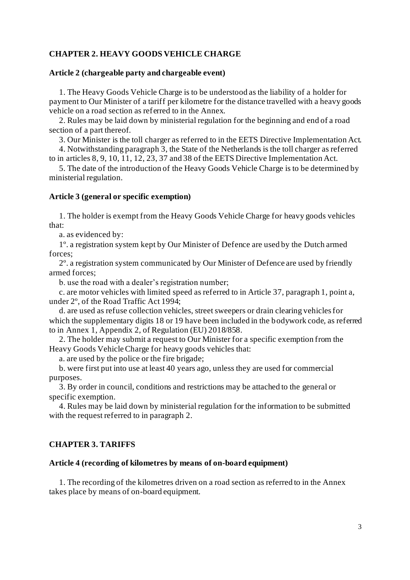# **CHAPTER 2. HEAVY GOODS VEHICLE CHARGE**

## **Article 2 (chargeable party and chargeable event)**

1. The Heavy Goods Vehicle Charge is to be understood as the liability of a holder for payment to Our Minister of a tariff per kilometre for the distance travelled with a heavy goods vehicle on a road section as referred to in the Annex.

2. Rules may be laid down by ministerial regulation for the beginning and end of a road section of a part thereof.

3. Our Minister is the toll charger as referred to in the EETS Directive Implementation Act.

4. Notwithstanding paragraph 3, the State of the Netherlands is the toll charger as referred to in articles 8, 9, 10, 11, 12, 23, 37 and 38 of the EETS Directive Implementation Act.

5. The date of the introduction of the Heavy Goods Vehicle Charge is to be determined by ministerial regulation.

## **Article 3 (general or specific exemption)**

1. The holder is exempt from the Heavy Goods Vehicle Charge for heavy goods vehicles that:

a. as evidenced by:

1º. a registration system kept by Our Minister of Defence are used by the Dutch armed forces;

2º. a registration system communicated by Our Minister of Defence are used by friendly armed forces;

b. use the road with a dealer's registration number;

c. are motor vehicles with limited speed as referred to in Article 37, paragraph 1, point a, under 2º, of the Road Traffic Act 1994;

d. are used as refuse collection vehicles, street sweepers or drain clearing vehicles for which the supplementary digits 18 or 19 have been included in the bodywork code, as referred to in Annex 1, Appendix 2, of Regulation (EU) 2018/858.

2. The holder may submit a request to Our Minister for a specific exemption from the Heavy Goods Vehicle Charge for heavy goods vehicles that:

a. are used by the police or the fire brigade;

b. were first put into use at least 40 years ago, unless they are used for commercial purposes.

3. By order in council, conditions and restrictions may be attached to the general or specific exemption.

4. Rules may be laid down by ministerial regulation for the information to be submitted with the request referred to in paragraph 2.

# **CHAPTER 3. TARIFFS**

## **Article 4 (recording of kilometres by means of on-board equipment)**

1. The recording of the kilometres driven on a road section as referred to in the Annex takes place by means of on-board equipment.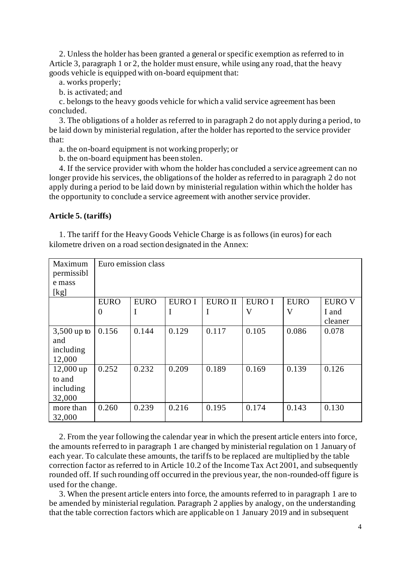2. Unless the holder has been granted a general or specific exemption as referred to in Article 3, paragraph 1 or 2, the holder must ensure, while using any road, that the heavy goods vehicle is equipped with on-board equipment that:

- a. works properly;
- b. is activated; and

c. belongs to the heavy goods vehicle for which a valid service agreement has been concluded.

3. The obligations of a holder as referred to in paragraph 2 do not apply during a period, to be laid down by ministerial regulation, after the holder has reported to the service provider that:

a. the on-board equipment is not working properly; or

b. the on-board equipment has been stolen.

4. If the service provider with whom the holder has concluded a service agreement can no longer provide his services, the obligations of the holder as referred to in paragraph 2 do not apply during a period to be laid down by ministerial regulation within which the holder has the opportunity to conclude a service agreement with another service provider.

## **Article 5. (tariffs)**

1. The tariff for the Heavy Goods Vehicle Charge is as follows (in euros) for each kilometre driven on a road section designated in the Annex:

| Maximum<br>permissibl<br>e mass<br>[kg]      |                               | Euro emission class |             |                     |                                          |                  |                                   |
|----------------------------------------------|-------------------------------|---------------------|-------------|---------------------|------------------------------------------|------------------|-----------------------------------|
|                                              | <b>EURO</b><br>$\overline{0}$ | <b>EURO</b><br>-    | EURO I<br>I | <b>EURO II</b><br>I | <b>EURO I</b><br>$\overline{\mathsf{V}}$ | <b>EURO</b><br>V | <b>EURO V</b><br>I and<br>cleaner |
| $3,500$ up to<br>and<br>including<br>12,000  | 0.156                         | 0.144               | 0.129       | 0.117               | 0.105                                    | 0.086            | 0.078                             |
| $12,000$ up<br>to and<br>including<br>32,000 | 0.252                         | 0.232               | 0.209       | 0.189               | 0.169                                    | 0.139            | 0.126                             |
| more than<br>32,000                          | 0.260                         | 0.239               | 0.216       | 0.195               | 0.174                                    | 0.143            | 0.130                             |

2. From the year following the calendar year in which the present article enters into force, the amounts referred to in paragraph 1 are changed by ministerial regulation on 1 January of each year. To calculate these amounts, the tariffs to be replaced are multiplied by the table correction factor as referred to in Article 10.2 of the Income Tax Act 2001, and subsequently rounded off. If such rounding off occurred in the previous year, the non-rounded-off figure is used for the change.

3. When the present article enters into force, the amounts referred to in paragraph 1 are to be amended by ministerial regulation. Paragraph 2 applies by analogy, on the understanding that the table correction factors which are applicable on 1 January 2019 and in subsequent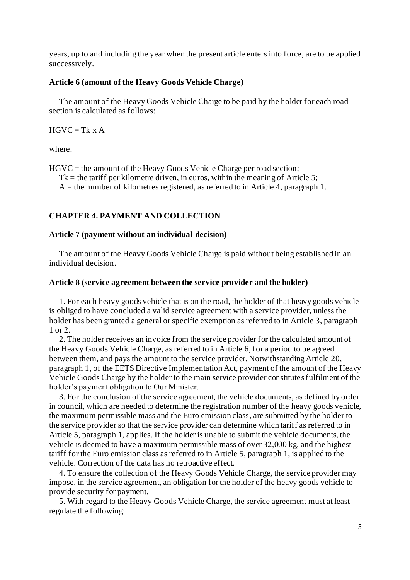years, up to and including the year when the present article enters into force, are to be applied successively.

## **Article 6 (amount of the Heavy Goods Vehicle Charge)**

The amount of the Heavy Goods Vehicle Charge to be paid by the holder for each road section is calculated as follows:

 $HGVC = Tk \times A$ 

where:

HGVC = the amount of the Heavy Goods Vehicle Charge per road section;

 $Tk =$  the tariff per kilometre driven, in euros, within the meaning of Article 5;

 $A =$  the number of kilometres registered, as referred to in Article 4, paragraph 1.

## **CHAPTER 4. PAYMENT AND COLLECTION**

#### **Article 7 (payment without an individual decision)**

The amount of the Heavy Goods Vehicle Charge is paid without being established in an individual decision.

#### **Article 8 (service agreement between the service provider and the holder)**

1. For each heavy goods vehicle that is on the road, the holder of that heavy goods vehicle is obliged to have concluded a valid service agreement with a service provider, unless the holder has been granted a general or specific exemption as referred to in Article 3, paragraph 1 or 2.

2. The holder receives an invoice from the service provider for the calculated amount of the Heavy Goods Vehicle Charge, as referred to in Article 6, for a period to be agreed between them, and pays the amount to the service provider. Notwithstanding Article 20, paragraph 1, of the EETS Directive Implementation Act, payment of the amount of the Heavy Vehicle Goods Charge by the holder to the main service provider constitutesfulfilment of the holder's payment obligation to Our Minister.

3. For the conclusion of the service agreement, the vehicle documents, as defined by order in council, which are needed to determine the registration number of the heavy goods vehicle, the maximum permissible mass and the Euro emission class, are submitted by the holder to the service provider so that the service provider can determine which tariff as referred to in Article 5, paragraph 1, applies. If the holder is unable to submit the vehicle documents, the vehicle is deemed to have a maximum permissible mass of over 32,000 kg, and the highest tariff for the Euro emission class as referred to in Article 5, paragraph 1, is applied to the vehicle. Correction of the data has no retroactive effect.

4. To ensure the collection of the Heavy Goods Vehicle Charge, the service provider may impose, in the service agreement, an obligation for the holder of the heavy goods vehicle to provide security for payment.

5. With regard to the Heavy Goods Vehicle Charge, the service agreement must at least regulate the following: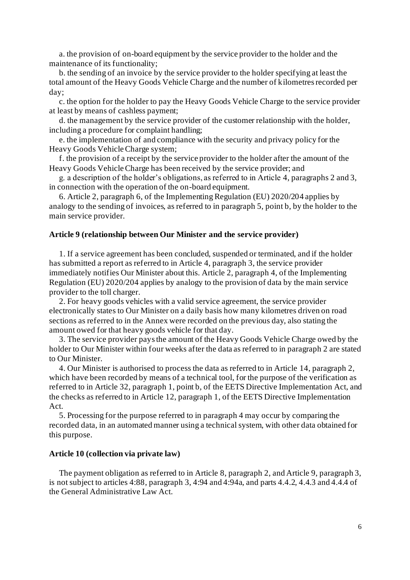a. the provision of on-board equipment by the service provider to the holder and the maintenance of its functionality;

b. the sending of an invoice by the service provider to the holder specifying at least the total amount of the Heavy Goods Vehicle Charge and the number of kilometres recorded per day;

c. the option for the holder to pay the Heavy Goods Vehicle Charge to the service provider at least by means of cashless payment;

d. the management by the service provider of the customer relationship with the holder, including a procedure for complaint handling;

e. the implementation of and compliance with the security and privacy policy for the Heavy Goods Vehicle Charge system;

f. the provision of a receipt by the service provider to the holder after the amount of the Heavy Goods Vehicle Charge has been received by the service provider; and

g. a description of the holder's obligations, as referred to in Article 4, paragraphs 2 and 3, in connection with the operation of the on-board equipment.

6. Article 2, paragraph 6, of the Implementing Regulation (EU) 2020/204 applies by analogy to the sending of invoices, as referred to in paragraph 5, point b, by the holder to the main service provider.

## **Article 9 (relationship between Our Minister and the service provider)**

1. If a service agreement has been concluded, suspended or terminated, and if the holder has submitted a report as referred to in Article 4, paragraph 3, the service provider immediately notifies Our Minister about this. Article 2, paragraph 4, of the Implementing Regulation (EU) 2020/204 applies by analogy to the provision of data by the main service provider to the toll charger.

2. For heavy goods vehicles with a valid service agreement, the service provider electronically states to Our Minister on a daily basis how many kilometres driven on road sections as referred to in the Annex were recorded on the previous day, also stating the amount owed for that heavy goods vehicle for that day.

3. The service provider paysthe amount of the Heavy Goods Vehicle Charge owed by the holder to Our Minister within four weeks after the data as referred to in paragraph 2 are stated to Our Minister.

4. Our Minister is authorised to process the data as referred to in Article 14, paragraph 2, which have been recorded by means of a technical tool, for the purpose of the verification as referred to in Article 32, paragraph 1, point b, of the EETS Directive Implementation Act, and the checks as referred to in Article 12, paragraph 1, of the EETS Directive Implementation Act.

5. Processing for the purpose referred to in paragraph 4 may occur by comparing the recorded data, in an automated manner using a technical system, with other data obtained for this purpose.

#### **Article 10 (collection via private law)**

The payment obligation as referred to in Article 8, paragraph 2, and Article 9, paragraph 3, is not subject to articles 4:88, paragraph 3, 4:94 and 4:94a, and parts 4.4.2, 4.4.3 and 4.4.4 of the General Administrative Law Act.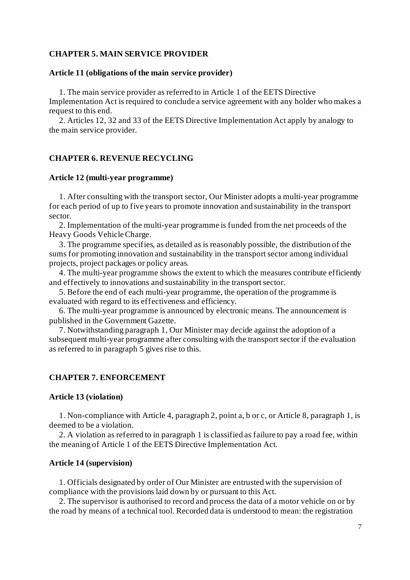## **CHAPTER 5. MAIN SERVICE PROVIDER**

## **Article 11 (obligations of the main service provider)**

1. The main service provider as referred to in Article 1 of the EETS Directive Implementation Act is required to conclude a service agreement with any holder who makes a request to this end.

2. Articles 12, 32 and 33 of the EETS Directive Implementation Act apply by analogy to the main service provider.

# **CHAPTER 6. REVENUE RECYCLING**

## **Article 12 (multi-year programme)**

1. After consulting with the transport sector, Our Minister adopts a multi-year programme for each period of up to five years to promote innovation and sustainability in the transport sector.

2. Implementation of the multi-year programme is funded from the net proceeds of the Heavy Goods Vehicle Charge.

3. The programme specifies, as detailed as is reasonably possible, the distribution of the sums for promoting innovation and sustainability in the transport sector among individual projects, project packages or policy areas.

4. The multi-year programme shows the extent to which the measures contribute efficiently and effectively to innovations and sustainability in the transport sector.

5. Before the end of each multi-year programme, the operation of the programme is evaluated with regard to its effectiveness and efficiency.

6. The multi-year programme is announced by electronic means. The announcement is published in the Government Gazette.

7. Notwithstanding paragraph 1, Our Minister may decide against the adoption of a subsequent multi-year programme after consulting with the transport sector if the evaluation as referred to in paragraph 5 gives rise to this.

## **CHAPTER 7. ENFORCEMENT**

## **Article 13 (violation)**

1. Non-compliance with Article 4, paragraph 2, point a, b or c, or Article 8, paragraph 1, is deemed to be a violation.

2. A violation as referred to in paragraph 1 is classified as failure to pay a road fee, within the meaning of Article 1 of the EETS Directive Implementation Act.

#### **Article 14 (supervision)**

1. Officials designated by order of Our Minister are entrusted with the supervision of compliance with the provisions laid down by or pursuant to this Act.

2. The supervisor is authorised to record and process the data of a motor vehicle on or by the road by means of a technical tool. Recorded data is understood to mean: the registration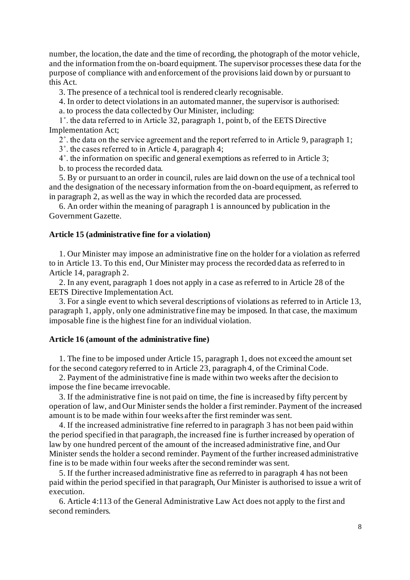number, the location, the date and the time of recording, the photograph of the motor vehicle, and the information from the on-board equipment. The supervisor processes these data for the purpose of compliance with and enforcement of the provisions laid down by or pursuant to this Act.

3. The presence of a technical tool is rendered clearly recognisable.

4. In order to detect violations in an automated manner, the supervisor is authorised:

a. to process the data collected by Our Minister, including:

1˚. the data referred to in Article 32, paragraph 1, point b, of the EETS Directive Implementation Act;

2˚. the data on the service agreement and the report referred to in Article 9, paragraph 1;

3˚. the cases referred to in Article 4, paragraph 4;

4˚. the information on specific and general exemptions as referred to in Article 3;

b. to process the recorded data.

5. By or pursuant to an order in council, rules are laid down on the use of a technical tool and the designation of the necessary information from the on-board equipment, as referred to in paragraph 2, as well as the way in which the recorded data are processed.

6. An order within the meaning of paragraph 1 is announced by publication in the Government Gazette.

#### **Article 15 (administrative fine for a violation)**

1. Our Minister may impose an administrative fine on the holder for a violation as referred to in Article 13. To this end, Our Minister may process the recorded data as referred to in Article 14, paragraph 2.

2. In any event, paragraph 1 does not apply in a case as referred to in Article 28 of the EETS Directive Implementation Act.

3. For a single event to which several descriptions of violations as referred to in Article 13, paragraph 1, apply, only one administrative fine may be imposed. In that case, the maximum imposable fine is the highest fine for an individual violation.

## **Article 16 (amount of the administrative fine)**

1. The fine to be imposed under Article 15, paragraph 1, does not exceed the amount set for the second category referred to in Article 23, paragraph 4, of the Criminal Code.

2. Payment of the administrative fine is made within two weeks after the decision to impose the fine became irrevocable.

3. If the administrative fine is not paid on time, the fine is increased by fifty percent by operation of law, and Our Minister sends the holder a first reminder. Payment of the increased amount is to be made within four weeks after the first reminder was sent.

4. If the increased administrative fine referred to in paragraph 3 has not been paid within the period specified in that paragraph, the increased fine is further increased by operation of law by one hundred percent of the amount of the increased administrative fine, and Our Minister sends the holder a second reminder. Payment of the further increased administrative fine is to be made within four weeks after the second reminder was sent.

5. If the further increased administrative fine as referred to in paragraph 4 has not been paid within the period specified in that paragraph, Our Minister is authorised to issue a writ of execution.

6. Article 4:113 of the General Administrative Law Act does not apply to the first and second reminders.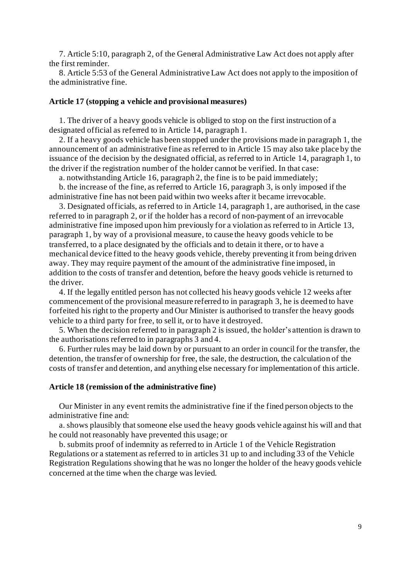7. Article 5:10, paragraph 2, of the General Administrative Law Act does not apply after the first reminder.

8. Article 5:53 of the General Administrative Law Act does not apply to the imposition of the administrative fine.

## **Article 17 (stopping a vehicle and provisional measures)**

1. The driver of a heavy goods vehicle is obliged to stop on the first instruction of a designated official as referred to in Article 14, paragraph 1.

2. If a heavy goods vehicle has been stopped under the provisions made in paragraph 1, the announcement of an administrative fine as referred to in Article 15 may also take place by the issuance of the decision by the designated official, as referred to in Article 14, paragraph 1, to the driver if the registration number of the holder cannot be verified. In that case:

a. notwithstanding Article 16, paragraph 2, the fine is to be paid immediately;

b. the increase of the fine, as referred to Article 16, paragraph 3, is only imposed if the administrative fine has not been paid within two weeks after it became irrevocable.

3. Designated officials, as referred to in Article 14, paragraph 1, are authorised, in the case referred to in paragraph 2, or if the holder has a record of non-payment of an irrevocable administrative fine imposed upon him previously for a violation as referred to in Article 13, paragraph 1, by way of a provisional measure, to cause the heavy goods vehicle to be transferred, to a place designated by the officials and to detain it there, or to have a mechanical device fitted to the heavy goods vehicle, thereby preventing it from being driven away. They may require payment of the amount of the administrative fine imposed, in addition to the costs of transfer and detention, before the heavy goods vehicle is returned to the driver.

4. If the legally entitled person has not collected his heavy goods vehicle 12 weeks after commencement of the provisional measure referred to in paragraph 3, he is deemed to have forfeited his right to the property and Our Minister is authorised to transfer the heavy goods vehicle to a third party for free, to sell it, or to have it destroyed.

5. When the decision referred to in paragraph 2 is issued, the holder's attention is drawn to the authorisations referred to in paragraphs 3 and 4.

6. Further rules may be laid down by or pursuant to an order in council for the transfer, the detention, the transfer of ownership for free, the sale, the destruction, the calculation of the costs of transfer and detention, and anything else necessary for implementation of this article.

#### **Article 18 (remission of the administrative fine)**

Our Minister in any event remits the administrative fine if the fined person objects to the administrative fine and:

a. shows plausibly that someone else used the heavy goods vehicle against his will and that he could not reasonably have prevented this usage; or

b. submits proof of indemnity as referred to in Article 1 of the Vehicle Registration Regulations or a statement as referred to in articles 31 up to and including 33 of the Vehicle Registration Regulations showing that he was no longer the holder of the heavy goods vehicle concerned at the time when the charge was levied.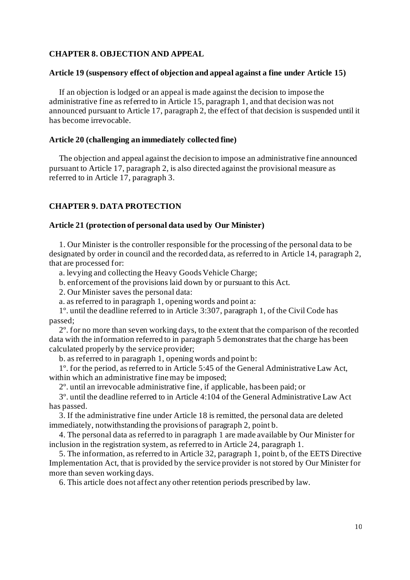## **CHAPTER 8. OBJECTION AND APPEAL**

## **Article 19 (suspensory effect of objection and appeal against a fine under Article 15)**

If an objection is lodged or an appeal is made against the decision to impose the administrative fine as referred to in Article 15, paragraph 1, and that decision was not announced pursuant to Article 17, paragraph 2, the effect of that decision is suspended until it has become irrevocable.

## **Article 20 (challenging an immediately collected fine)**

The objection and appeal against the decision to impose an administrative fine announced pursuant to Article 17, paragraph 2, is also directed against the provisional measure as referred to in Article 17, paragraph 3.

## **CHAPTER 9. DATA PROTECTION**

# **Article 21 (protection of personal data used by Our Minister)**

1. Our Minister is the controller responsible for the processing of the personal data to be designated by order in council and the recorded data, as referred to in Article 14, paragraph 2, that are processed for:

a. levying and collecting the Heavy Goods Vehicle Charge;

b. enforcement of the provisions laid down by or pursuant to this Act.

2. Our Minister saves the personal data:

a. as referred to in paragraph 1, opening words and point a:

1º. until the deadline referred to in Article 3:307, paragraph 1, of the Civil Code has passed;

2º. for no more than seven working days, to the extent that the comparison of the recorded data with the information referred to in paragraph 5 demonstrates that the charge has been calculated properly by the service provider;

b. as referred to in paragraph 1, opening words and point b:

1º. for the period, as referred to in Article 5:45 of the General Administrative Law Act, within which an administrative fine may be imposed;

2º. until an irrevocable administrative fine, if applicable, has been paid; or

3º. until the deadline referred to in Article 4:104 of the General Administrative Law Act has passed.

3. If the administrative fine under Article 18 is remitted, the personal data are deleted immediately, notwithstanding the provisions of paragraph 2, point b.

4. The personal data as referred to in paragraph 1 are made available by Our Minister for inclusion in the registration system, as referred to in Article 24, paragraph 1.

5. The information, as referred to in Article 32, paragraph 1, point b, of the EETS Directive Implementation Act, that is provided by the service provider is not stored by Our Minister for more than seven working days.

6. This article does not affect any other retention periods prescribed by law.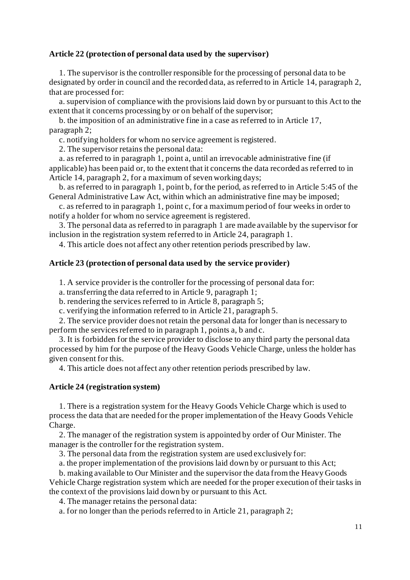## **Article 22 (protection of personal data used by the supervisor)**

1. The supervisor is the controller responsible for the processing of personal data to be designated by order in council and the recorded data, as referred to in Article 14, paragraph 2, that are processed for:

a. supervision of compliance with the provisions laid down by or pursuant to this Act to the extent that it concerns processing by or on behalf of the supervisor;

b. the imposition of an administrative fine in a case as referred to in Article 17, paragraph 2;

c. notifying holders for whom no service agreement is registered.

2. The supervisor retains the personal data:

a. as referred to in paragraph 1, point a, until an irrevocable administrative fine (if applicable) has been paid or, to the extent that it concerns the data recorded as referred to in Article 14, paragraph 2, for a maximum of seven working days;

b. as referred to in paragraph 1, point b, for the period, as referred to in Article 5:45 of the General Administrative Law Act, within which an administrative fine may be imposed;

c. as referred to in paragraph 1, point c, for a maximum period of four weeks in order to notify a holder for whom no service agreement is registered.

3. The personal data as referred to in paragraph 1 are made available by the supervisor for inclusion in the registration system referred to in Article 24, paragraph 1.

4. This article does not affect any other retention periods prescribed by law.

## **Article 23 (protection of personal data used by the service provider)**

1. A service provider is the controller for the processing of personal data for:

a. transferring the data referred to in Article 9, paragraph 1;

b. rendering the services referred to in Article 8, paragraph 5;

c. verifying the information referred to in Article 21, paragraph 5.

2. The service provider does not retain the personal data for longer than is necessary to perform the services referred to in paragraph 1, points a, b and c.

3. It is forbidden for the service provider to disclose to any third party the personal data processed by him for the purpose of the Heavy Goods Vehicle Charge, unless the holder has given consent for this.

4. This article does not affect any other retention periods prescribed by law.

## **Article 24 (registration system)**

1. There is a registration system for the Heavy Goods Vehicle Charge which is used to process the data that are needed for the proper implementation of the Heavy Goods Vehicle Charge.

2. The manager of the registration system is appointed by order of Our Minister. The manager is the controller for the registration system.

3. The personal data from the registration system are used exclusively for:

a. the proper implementation of the provisions laid down by or pursuant to this Act;

b. making available to Our Minister and the supervisor the data from the Heavy Goods Vehicle Charge registration system which are needed for the proper execution of their tasks in the context of the provisions laid down by or pursuant to this Act.

4. The manager retains the personal data:

a. for no longer than the periods referred to in Article 21, paragraph 2;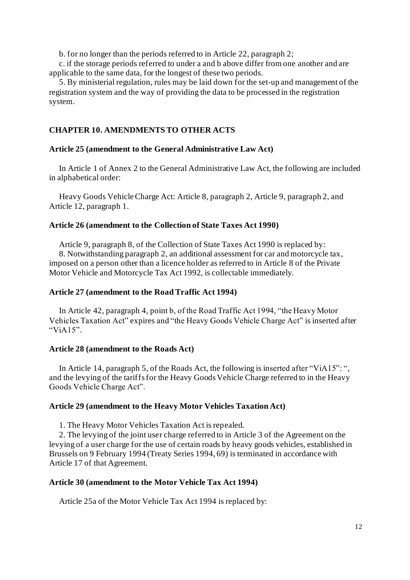b. for no longer than the periods referred to in Article 22, paragraph 2;

c. if the storage periods referred to under a and b above differ from one another and are applicable to the same data, for the longest of these two periods.

5. By ministerial regulation, rules may be laid down for the set-up and management of the registration system and the way of providing the data to be processed in the registration system.

# **CHAPTER 10. AMENDMENTS TO OTHER ACTS**

## **Article 25 (amendment to the General Administrative Law Act)**

In Article 1 of Annex 2 to the General Administrative Law Act, the following are included in alphabetical order:

Heavy Goods Vehicle Charge Act: Article 8, paragraph 2, Article 9, paragraph 2, and Article 12, paragraph 1.

# **Article 26 (amendment to the Collection of State Taxes Act 1990)**

Article 9, paragraph 8, of the Collection of State Taxes Act 1990 is replaced by: 8. Notwithstanding paragraph 2, an additional assessment for car and motorcycle tax, imposed on a person other than a licence holder as referred to in Article 8 of the Private Motor Vehicle and Motorcycle Tax Act 1992, is collectable immediately.

## **Article 27 (amendment to the Road Traffic Act 1994)**

In Article 42, paragraph 4, point b, of the Road Traffic Act 1994, "the Heavy Motor Vehicles Taxation Act" expires and "the Heavy Goods Vehicle Charge Act" is inserted after "ViA<sub>15</sub>".

## **Article 28 (amendment to the Roads Act)**

In Article 14, paragraph 5, of the Roads Act, the following is inserted after "ViA15": ", and the levying of the tariffs for the Heavy Goods Vehicle Charge referred to in the Heavy Goods Vehicle Charge Act".

## **Article 29 (amendment to the Heavy Motor Vehicles Taxation Act)**

1. The Heavy Motor Vehicles Taxation Act is repealed.

2. The levying of the joint user charge referred to in Article 3 of the Agreement on the levying of a user charge for the use of certain roads by heavy goods vehicles, established in Brussels on 9 February 1994 (Treaty Series 1994, 69) is terminated in accordance with Article 17 of that Agreement.

## **Article 30 (amendment to the Motor Vehicle Tax Act 1994)**

Article 25a of the Motor Vehicle Tax Act 1994 is replaced by: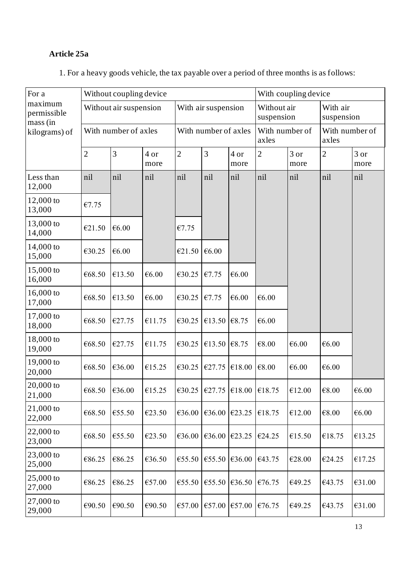# **Article 25a**

| For a                              | Without coupling device                        |        |              |                      |                                   |              | With coupling device    |                           |                         |                        |  |
|------------------------------------|------------------------------------------------|--------|--------------|----------------------|-----------------------------------|--------------|-------------------------|---------------------------|-------------------------|------------------------|--|
| maximum<br>permissible<br>mass (in | Without air suspension<br>With number of axles |        |              |                      | With air suspension               |              |                         | Without air<br>suspension |                         | With air<br>suspension |  |
| kilograms) of                      |                                                |        |              | With number of axles |                                   |              | With number of<br>axles |                           | With number of<br>axles |                        |  |
|                                    | $\overline{2}$                                 | 3      | 4 or<br>more | $\overline{2}$       | 3                                 | 4 or<br>more | $\overline{2}$          | 3 or<br>more              | $\overline{2}$          | 3 or<br>more           |  |
| Less than<br>12,000                | nil                                            | nil    | nil          | nil                  | nil                               | nil          | nil                     | nil                       | nil                     | nil                    |  |
| 12,000 to<br>13,000                | €7.75                                          |        |              |                      |                                   |              |                         |                           |                         |                        |  |
| 13,000 to<br>14,000                | €21.50                                         | €6.00  |              | €7.75                |                                   |              |                         |                           |                         |                        |  |
| 14,000 to<br>15,000                | €30.25                                         | €6.00  |              | €21.50               | €6.00                             |              |                         |                           |                         |                        |  |
| 15,000 to<br>16,000                | €68.50                                         | €13.50 | €6.00        | €30.25               | €7.75                             | €6.00        |                         |                           |                         |                        |  |
| 16,000 to<br>17,000                | €68.50                                         | €13.50 | €6.00        | €30.25               | €7.75                             | €6.00        | €6.00                   |                           |                         |                        |  |
| 17,000 to<br>18,000                | €68.50                                         | €27.75 | €11.75       | €30.25               | €13.50                            | €8.75        | €6.00                   |                           |                         |                        |  |
| 18,000 to<br>19,000                | €68.50                                         | €27.75 | €11.75       | €30.25               | €13.50 $\text{\textsterling}8.75$ |              | €8.00                   | €6.00                     | €6.00                   |                        |  |
| 19,000 to<br>20,000                | €68.50                                         | €36.00 | €15.25       | €30.25               | €27.75                            | €18.00       | €8.00                   | €6.00                     | €6.00                   |                        |  |
| $20,000$ to<br>21,000              | €68.50                                         | €36.00 | €15.25       | €30.25               | €27.75                            | €18.00       | €18.75                  | €12.00                    | €8.00                   | €6.00                  |  |
| $21,000$ to<br>22,000              | €68.50                                         | €55.50 | €23.50       | €36.00               | €36.00                            | €23.25       | €18.75                  | €12.00                    | $\mathcal{C}8.00$       | €6.00                  |  |
| $22,000$ to<br>23,000              | €68.50                                         | €55.50 | €23.50       | $\mathcal{C}36.00$   | €36.00                            | €23.25       | €24.25                  | €15.50                    | €18.75                  | €13.25                 |  |
| 23,000 to<br>25,000                | €86.25                                         | €86.25 | €36.50       | €55.50               | €55.50                            | €36.00       | €43.75                  | €28.00                    | €24.25                  | €17.25                 |  |
| 25,000 to<br>27,000                | €86.25                                         | €86.25 | €57.00       | €55.50               | €55.50                            | €36.50       | €76.75                  | €49.25                    | €43.75                  | €31.00                 |  |
| $27,000$ to<br>29,000              | €90.50                                         | €90.50 | €90.50       | €57.00               | €57.00                            | €57.00       | €76.75                  | €49.25                    | €43.75                  | €31.00                 |  |

1. For a heavy goods vehicle, the tax payable over a period of three months is as follows: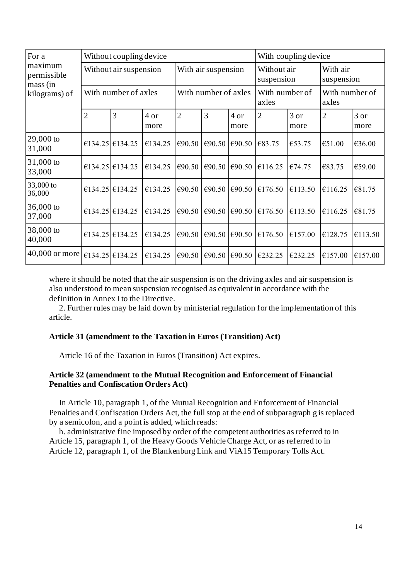| For a                              |                        | Without coupling device |              |                      | With coupling device |                         |                           |                |                         |              |
|------------------------------------|------------------------|-------------------------|--------------|----------------------|----------------------|-------------------------|---------------------------|----------------|-------------------------|--------------|
| maximum<br>permissible<br>mass (in | Without air suspension |                         |              | With air suspension  |                      |                         | Without air<br>suspension |                | With air<br>suspension  |              |
| kilograms) of                      | With number of axles   |                         |              | With number of axles |                      |                         | With number of<br>axles   |                | With number of<br>axles |              |
|                                    | $\overline{2}$         | 3                       | 4 or<br>more | $\overline{2}$       | 3                    | 4 or<br>more            | $\overline{2}$            | $3$ or<br>more | $\overline{2}$          | 3 or<br>more |
| $29,000$ to<br>31,000              |                        | €134.25 €134.25         | €134.25      | €90.50               | €90.50               | €90.50 $\text{\&}83.75$ |                           | €53.75         | €51.00                  | €36.00       |
| 31,000 to<br>33,000                |                        | €134.25 €134.25         | €134.25      | €90.50               | €90.50               |                         | €90.50 $\in$ 116.25       | €74.75         | €83.75                  | €59.00       |
| 33,000 to<br>36,000                |                        | €134.25 €134.25         | €134.25      | €90.50               | $\epsilon$ 90.50     | €90.50                  | €176.50                   | €113.50        | €116.25                 | €81.75       |
| $36,000$ to<br>37,000              |                        | €134.25 €134.25         | €134.25      | €90.50               | €90.50               | €90.50                  | €176.50                   | €113.50        | €116.25                 | €81.75       |
| 38,000 to<br>40,000                |                        | €134.25 €134.25         | €134.25      | €90.50               | €90.50               | €90.50                  | €176.50                   | €157.00        | €128.75                 | €113.50      |
| 40,000 or more                     |                        | €134.25 €134.25         | €134.25      | €90.50               | €90.50               | €90.50                  | €232.25                   | €232.25        | €157.00                 | €157.00      |

where it should be noted that the air suspension is on the driving axles and air suspension is also understood to mean suspension recognised as equivalent in accordance with the definition in Annex I to the Directive.

2. Further rules may be laid down by ministerial regulation for the implementation of this article.

# **Article 31 (amendment to the Taxation in Euros (Transition) Act)**

Article 16 of the Taxation in Euros (Transition) Act expires.

# **Article 32 (amendment to the Mutual Recognition and Enforcement of Financial Penalties and Confiscation Orders Act)**

In Article 10, paragraph 1, of the Mutual Recognition and Enforcement of Financial Penalties and Confiscation Orders Act, the full stop at the end of subparagraph g is replaced by a semicolon, and a point is added, which reads:

h. administrative fine imposed by order of the competent authorities as referred to in Article 15, paragraph 1, of the Heavy Goods Vehicle Charge Act, or as referred to in Article 12, paragraph 1, of the Blankenburg Link and ViA15 Temporary Tolls Act.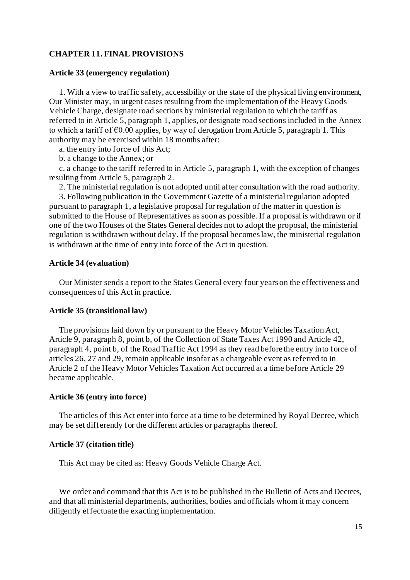## **CHAPTER 11. FINAL PROVISIONS**

## **Article 33 (emergency regulation)**

1. With a view to traffic safety, accessibility or the state of the physical living environment, Our Minister may, in urgent cases resulting from the implementation of the Heavy Goods Vehicle Charge, designate road sections by ministerial regulation to which the tariff as referred to in Article 5, paragraph 1, applies, or designate road sections included in the Annex to which a tariff of  $\epsilon 0.00$  applies, by way of derogation from Article 5, paragraph 1. This authority may be exercised within 18 months after:

a. the entry into force of this Act;

b. a change to the Annex; or

c. a change to the tariff referred to in Article 5, paragraph 1, with the exception of changes resulting from Article 5, paragraph 2.

2. The ministerial regulation is not adopted until after consultation with the road authority.

3. Following publication in the Government Gazette of a ministerial regulation adopted pursuant to paragraph 1, a legislative proposal for regulation of the matter in question is submitted to the House of Representatives as soon as possible. If a proposal is withdrawn or if one of the two Houses of the States General decides not to adopt the proposal, the ministerial regulation is withdrawn without delay. If the proposal becomes law, the ministerial regulation is withdrawn at the time of entry into force of the Act in question.

#### **Article 34 (evaluation)**

Our Minister sends a report to the States General every four years on the effectiveness and consequences of this Act in practice.

#### **Article 35 (transitional law)**

The provisions laid down by or pursuant to the Heavy Motor Vehicles Taxation Act, Article 9, paragraph 8, point b, of the Collection of State Taxes Act 1990 and Article 42, paragraph 4, point b, of the Road Traffic Act 1994 as they read before the entry into force of articles 26, 27 and 29, remain applicable insofar as a chargeable event as referred to in Article 2 of the Heavy Motor Vehicles Taxation Act occurred at a time before Article 29 became applicable.

## **Article 36 (entry into force)**

The articles of this Act enter into force at a time to be determined by Royal Decree, which may be set differently for the different articles or paragraphs thereof.

#### **Article 37 (citation title)**

This Act may be cited as: Heavy Goods Vehicle Charge Act.

We order and command that this Act is to be published in the Bulletin of Acts and Decrees, and that all ministerial departments, authorities, bodies and officials whom it may concern diligently effectuate the exacting implementation.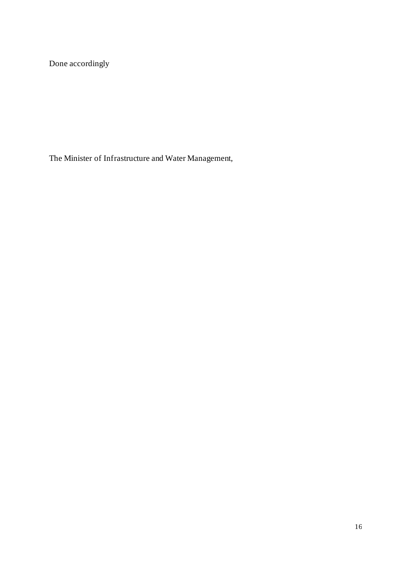Done accordingly

The Minister of Infrastructure and Water Management,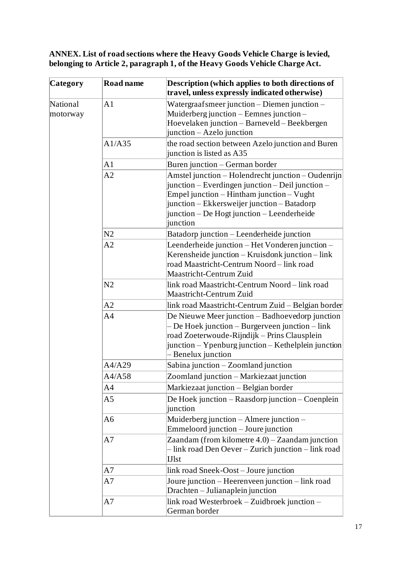**ANNEX. List of road sections where the Heavy Goods Vehicle Charge is levied, belonging to Article 2, paragraph 1, of the Heavy Goods Vehicle Charge Act.**

| <b>Category</b>      | <b>Road name</b> | <b>Description</b> (which applies to both directions of<br>travel, unless expressly indicated otherwise)                                                                                                                                                     |
|----------------------|------------------|--------------------------------------------------------------------------------------------------------------------------------------------------------------------------------------------------------------------------------------------------------------|
| National<br>motorway | A <sub>1</sub>   | Watergraafsmeer junction - Diemen junction -<br>Muiderberg junction – Eemnes junction –<br>Hoevelaken junction - Barneveld - Beekbergen<br>$\vert$ junction – Azelo junction                                                                                 |
|                      | A1/A35           | the road section between Azelo junction and Buren<br>junction is listed as A35                                                                                                                                                                               |
|                      | A <sub>1</sub>   | Buren junction – German border                                                                                                                                                                                                                               |
|                      | A2               | Amstel junction - Holendrecht junction - Oudenrijn<br>junction – Everdingen junction – Deil junction –<br>Empel junction – Hintham junction – Vught<br>junction – Ekkersweijer junction – Batadorp<br>junction – De Hogt junction – Leenderheide<br>junction |
|                      | N <sub>2</sub>   | Batadorp junction – Leenderheide junction                                                                                                                                                                                                                    |
|                      | A2               | Leenderheide junction - Het Vonderen junction -<br>Kerensheide junction – Kruisdonk junction – link<br>road Maastricht-Centrum Noord – link road<br>Maastricht-Centrum Zuid                                                                                  |
|                      | N <sub>2</sub>   | link road Maastricht-Centrum Noord – link road<br>Maastricht-Centrum Zuid                                                                                                                                                                                    |
|                      | A2               | link road Maastricht-Centrum Zuid – Belgian border                                                                                                                                                                                                           |
|                      | A <sub>4</sub>   | De Nieuwe Meer junction – Badhoevedorp junction<br>De Hoek junction – Burgerveen junction – link<br>road Zoeterwoude-Rijndijk – Prins Clausplein<br>junction – Ypenburg junction – Kethelplein junction<br>Benelux junction                                  |
|                      | A4/A29           | Sabina junction – Zoomland junction                                                                                                                                                                                                                          |
|                      | A4/A58           | Zoomland junction - Markiezaat junction                                                                                                                                                                                                                      |
|                      | A <sub>4</sub>   | Markiezaat junction - Belgian border                                                                                                                                                                                                                         |
|                      | A5               | De Hoek junction – Raasdorp junction – Coenplein<br>junction                                                                                                                                                                                                 |
|                      | A6               | Muiderberg junction – Almere junction –<br>Emmeloord junction – Joure junction                                                                                                                                                                               |
|                      | A7               | Zaandam (from kilometre $4.0$ ) – Zaandam junction<br>- link road Den Oever - Zurich junction - link road<br><b>IJ</b> st                                                                                                                                    |
|                      | A7               | link road Sneek-Oost-Joure junction                                                                                                                                                                                                                          |
|                      | A7               | Joure junction – Heerenveen junction – link road<br>Drachten - Julianaplein junction                                                                                                                                                                         |
|                      | A7               | link road Westerbroek – Zuidbroek junction –<br>German border                                                                                                                                                                                                |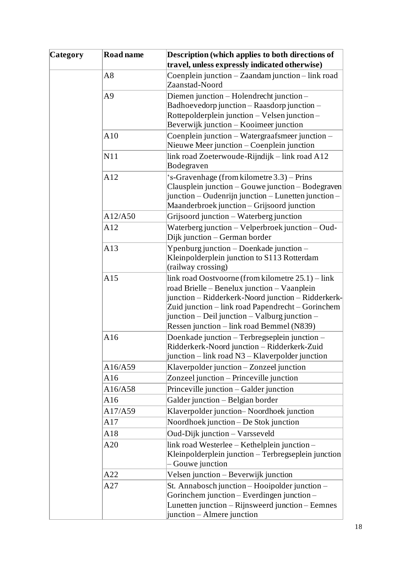| <b>Category</b> | <b>Road name</b> | Description (which applies to both directions of                                                                                                                                                                                                                                                             |
|-----------------|------------------|--------------------------------------------------------------------------------------------------------------------------------------------------------------------------------------------------------------------------------------------------------------------------------------------------------------|
|                 |                  | travel, unless expressly indicated otherwise)                                                                                                                                                                                                                                                                |
|                 | A8               | Coenplein junction – Zaandam junction – link road                                                                                                                                                                                                                                                            |
|                 |                  | Zaanstad-Noord                                                                                                                                                                                                                                                                                               |
|                 | A <sub>9</sub>   | Diemen junction – Holendrecht junction –                                                                                                                                                                                                                                                                     |
|                 |                  | Badhoevedorp junction - Raasdorp junction -                                                                                                                                                                                                                                                                  |
|                 |                  | Rottepolderplein junction – Velsen junction –                                                                                                                                                                                                                                                                |
|                 |                  | Beverwijk junction – Kooimeer junction                                                                                                                                                                                                                                                                       |
|                 | A10              | Coenplein junction – Watergraafsmeer junction –<br>Nieuwe Meer junction – Coenplein junction                                                                                                                                                                                                                 |
|                 | N11              | link road Zoeterwoude-Rijndijk – link road A12<br>Bodegraven                                                                                                                                                                                                                                                 |
|                 | A12              | 's-Gravenhage (from kilometre 3.3) – Prins<br>Clausplein junction – Gouwe junction – Bodegraven<br>junction – Oudenrijn junction – Lunetten junction –<br>Maanderbroek junction - Grijsoord junction                                                                                                         |
|                 | A12/A50          | Grijsoord junction – Waterberg junction                                                                                                                                                                                                                                                                      |
|                 | A12              | Waterberg junction - Velperbroek junction - Oud-<br>Dijk junction – German border                                                                                                                                                                                                                            |
|                 | A13              | Ypenburg junction – Doenkade junction –<br>Kleinpolderplein junction to S113 Rotterdam<br>(railway crossing)                                                                                                                                                                                                 |
|                 | A15              | link road Oostvoorne (from kilometre $25.1$ ) – link<br>road Brielle – Benelux junction – Vaanplein<br>junction - Ridderkerk-Noord junction - Ridderkerk-<br>Zuid junction - link road Papendrecht - Gorinchem<br>junction - Deil junction - Valburg junction -<br>Ressen junction – link road Bemmel (N839) |
|                 | A16              | Doenkade junction - Terbregseplein junction -<br>Ridderkerk-Noord junction - Ridderkerk-Zuid<br>junction – link road N3 – Klaverpolder junction                                                                                                                                                              |
|                 | A16/A59          | Klaverpolder junction – Zonzeel junction                                                                                                                                                                                                                                                                     |
|                 | A16              | Zonzeel junction - Princeville junction                                                                                                                                                                                                                                                                      |
|                 | A16/A58          | Princeville junction – Galder junction                                                                                                                                                                                                                                                                       |
|                 | A16              | Galder junction - Belgian border                                                                                                                                                                                                                                                                             |
|                 | A17/A59          | Klaverpolder junction-Noordhoek junction                                                                                                                                                                                                                                                                     |
|                 | A17              | Noordhoek junction – De Stok junction                                                                                                                                                                                                                                                                        |
|                 | A18              | Oud-Dijk junction - Varsseveld                                                                                                                                                                                                                                                                               |
|                 | A20              | link road Westerlee - Kethelplein junction -<br>Kleinpolderplein junction – Terbregseplein junction<br>Gouwe junction                                                                                                                                                                                        |
|                 | A22              | Velsen junction – Beverwijk junction                                                                                                                                                                                                                                                                         |
|                 | A27              | St. Annabosch junction - Hooipolder junction -<br>Gorinchem junction – Everdingen junction –<br>Lunetten junction – Rijnsweerd junction – Eemnes<br>junction – Almere junction                                                                                                                               |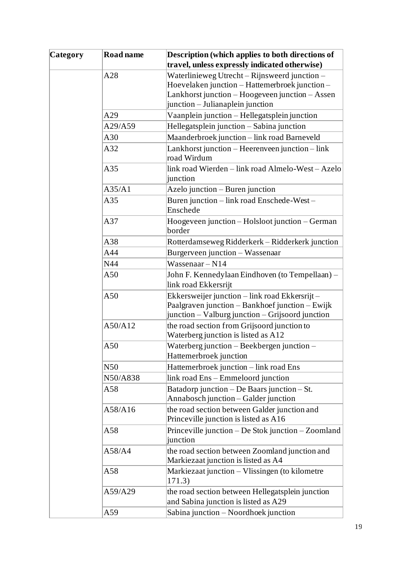| <b>Category</b> | <b>Road name</b> | Description (which applies to both directions of                                                                                                      |
|-----------------|------------------|-------------------------------------------------------------------------------------------------------------------------------------------------------|
|                 |                  | travel, unless expressly indicated otherwise)                                                                                                         |
|                 | A28              | Waterlinieweg Utrecht - Rijnsweerd junction -                                                                                                         |
|                 |                  | Hoevelaken junction - Hattemerbroek junction -                                                                                                        |
|                 |                  | Lankhorst junction – Hoogeveen junction – Assen                                                                                                       |
|                 |                  | junction - Julianaplein junction                                                                                                                      |
|                 | A29              | Vaanplein junction - Hellegatsplein junction                                                                                                          |
|                 | A29/A59          | Hellegatsplein junction - Sabina junction                                                                                                             |
|                 | A30              | Maanderbroek junction - link road Barneveld                                                                                                           |
|                 | A32              | Lankhorst junction – Heerenveen junction – link<br>road Wirdum                                                                                        |
|                 | A35              | link road Wierden – link road Almelo-West – Azelo<br>junction                                                                                         |
|                 | A35/A1           | Azelo junction – Buren junction                                                                                                                       |
|                 | A35              | Buren junction - link road Enschede-West -                                                                                                            |
|                 |                  | Enschede                                                                                                                                              |
|                 | A37              | Hoogeveen junction – Holsloot junction – German<br>border                                                                                             |
|                 | A38              | Rotterdamseweg Ridderkerk - Ridderkerk junction                                                                                                       |
|                 | A44              | Burgerveen junction - Wassenaar                                                                                                                       |
|                 | N44              | Wassenaar - N14                                                                                                                                       |
|                 | A50              | John F. Kennedylaan Eindhoven (to Tempellaan) –<br>link road Ekkersrijt                                                                               |
|                 | A50              | Ekkersweijer junction – link road Ekkersrijt –<br>Paalgraven junction – Bankhoef junction – Ewijk<br>junction – Valburg junction – Grijsoord junction |
|                 | A50/A12          | the road section from Grijsoord junction to<br>Waterberg junction is listed as A12                                                                    |
|                 | A50              | Waterberg junction – Beekbergen junction –<br>Hattemerbroek junction                                                                                  |
|                 | N50              | Hattemerbroek junction – link road Ens                                                                                                                |
|                 | N50/A838         | link road Ens – Emmeloord junction                                                                                                                    |
|                 | A58              | Batadorp junction $-$ De Baars junction $-$ St.<br>Annabosch junction – Galder junction                                                               |
|                 | A58/A16          | the road section between Galder junction and<br>Princeville junction is listed as A16                                                                 |
|                 | A58              | Princeville junction – De Stok junction – Zoomland<br>junction                                                                                        |
|                 | A58/A4           | the road section between Zoomland junction and<br>Markiezaat junction is listed as A4                                                                 |
|                 | A58              | Markiezaat junction – Vlissingen (to kilometre<br>171.3)                                                                                              |
|                 | A59/A29          | the road section between Hellegatsplein junction<br>and Sabina junction is listed as A29                                                              |
|                 | A59              | Sabina junction – Noordhoek junction                                                                                                                  |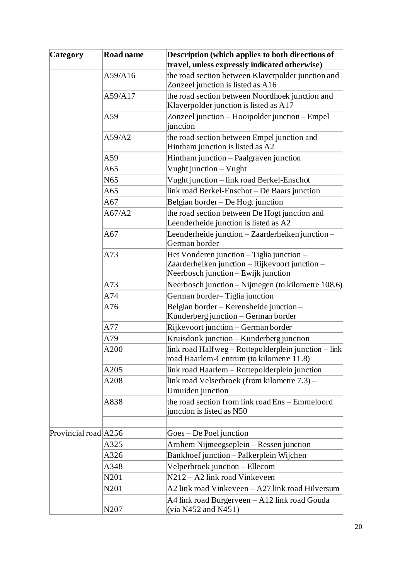| <b>Category</b>      | <b>Road name</b> | Description (which applies to both directions of                                                                                   |
|----------------------|------------------|------------------------------------------------------------------------------------------------------------------------------------|
|                      |                  | travel, unless expressly indicated otherwise)                                                                                      |
|                      | A59/A16          | the road section between Klaverpolder junction and<br>Zonzeel junction is listed as A16                                            |
|                      | A59/A17          | the road section between Noordhoek junction and                                                                                    |
|                      |                  | Klaverpolder junction is listed as A17                                                                                             |
|                      | A59              | Zonzeel junction – Hooipolder junction – Empel<br>junction                                                                         |
|                      | A59/A2           | the road section between Empel junction and<br>Hintham junction is listed as A2                                                    |
|                      | A59              | Hintham junction - Paalgraven junction                                                                                             |
|                      | A65              | Vught junction - Vught                                                                                                             |
|                      | N <sub>65</sub>  | Vught junction – link road Berkel-Enschot                                                                                          |
|                      | A65              | link road Berkel-Enschot – De Baars junction                                                                                       |
|                      | A67              | Belgian border - De Hogt junction                                                                                                  |
|                      | A67/A2           | the road section between De Hogt junction and<br>Leenderheide junction is listed as A2                                             |
|                      | A67              | Leenderheide junction - Zaarderheiken junction -<br>German border                                                                  |
|                      | A73              | Het Vonderen junction - Tiglia junction -<br>Zaarderheiken junction - Rijkevoort junction -<br>Neerbosch junction – Ewijk junction |
|                      | A73              | Neerbosch junction – Nijmegen (to kilometre 108.6)                                                                                 |
|                      | A74              | German border-Tiglia junction                                                                                                      |
|                      | A76              | Belgian border – Kerensheide junction –<br>Kunderberg junction - German border                                                     |
|                      | A77              | Rijkevoort junction – German border                                                                                                |
|                      | A79              | Kruisdonk junction – Kunderberg junction                                                                                           |
|                      | A200             | link road Halfweg - Rottepolderplein junction - link<br>road Haarlem-Centrum (to kilometre 11.8)                                   |
|                      | A205             | link road Haarlem - Rottepolderplein junction                                                                                      |
|                      | A208             | link road Velserbroek (from kilometre 7.3) –<br><b>IJmuiden</b> junction                                                           |
|                      | A838             | the road section from link road Ens – Emmeloord<br>junction is listed as N50                                                       |
| Provincial road A256 |                  | Goes – De Poel junction                                                                                                            |
|                      | A325             | Arnhem Nijmeegseplein - Ressen junction                                                                                            |
|                      | A326             | Bankhoef junction - Palkerplein Wijchen                                                                                            |
|                      | A348             | Velperbroek junction – Ellecom                                                                                                     |
|                      | N201             | N212 – A2 link road Vinkeveen                                                                                                      |
|                      | N201             | A2 link road Vinkeveen - A27 link road Hilversum                                                                                   |
|                      | N207             | A4 link road Burgerveen – A12 link road Gouda<br>(via N452 and N451)                                                               |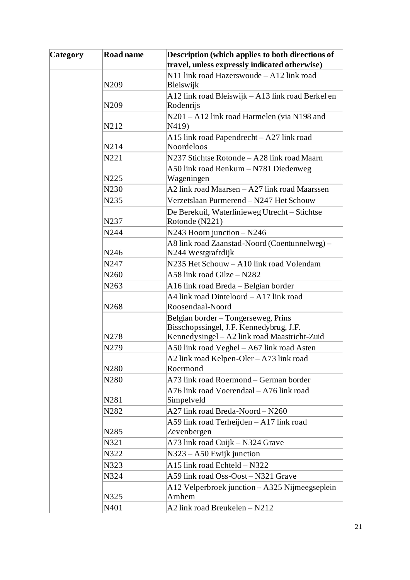| <b>Category</b> | Road name         | Description (which applies to both directions of  |
|-----------------|-------------------|---------------------------------------------------|
|                 |                   | travel, unless expressly indicated otherwise)     |
|                 |                   | N11 link road Hazerswoude - A12 link road         |
|                 | N209              | Bleiswijk                                         |
|                 |                   | A12 link road Bleiswijk – A13 link road Berkel en |
|                 | N209              | Rodenrijs                                         |
|                 |                   | N201 - A12 link road Harmelen (via N198 and       |
|                 | N212              | N419)                                             |
|                 |                   | A15 link road Papendrecht - A27 link road         |
|                 | N214              | Noordeloos                                        |
|                 | N221              | N237 Stichtse Rotonde – A28 link road Maarn       |
|                 |                   | A50 link road Renkum – N781 Diedenweg             |
|                 | N225              | Wageningen                                        |
|                 | N230              | A2 link road Maarsen – A27 link road Maarssen     |
|                 | N235              | Verzetslaan Purmerend - N247 Het Schouw           |
|                 |                   | De Berekuil, Waterlinieweg Utrecht – Stichtse     |
|                 | N237              | Rotonde (N221)                                    |
|                 | N244              | $N243$ Hoorn junction – $N246$                    |
|                 |                   | A8 link road Zaanstad-Noord (Coentunnelweg) -     |
|                 | N246              | N244 Westgraftdijk                                |
|                 | N247              | N235 Het Schouw - A10 link road Volendam          |
|                 | N <sub>260</sub>  | A58 link road Gilze - N282                        |
|                 | N <sub>263</sub>  | A16 link road Breda – Belgian border              |
|                 |                   | A4 link road Dinteloord – A17 link road           |
|                 | N <sub>268</sub>  | Roosendaal-Noord                                  |
|                 |                   | Belgian border – Tongerseweg, Prins               |
|                 |                   | Bisschopssingel, J.F. Kennedybrug, J.F.           |
|                 | N278              | Kennedysingel - A2 link road Maastricht-Zuid      |
|                 | N279              | A50 link road Veghel - A67 link road Asten        |
|                 |                   | A2 link road Kelpen-Oler - A73 link road          |
|                 | N <sub>2</sub> 80 | Roermond                                          |
|                 | N <sub>2</sub> 80 | A73 link road Roermond – German border            |
|                 |                   | A76 link road Voerendaal - A76 link road          |
|                 | N281              | Simpelveld                                        |
|                 | N282              | A27 link road Breda-Noord - N260                  |
|                 |                   | A59 link road Terheijden - A17 link road          |
|                 | N <sub>2</sub> 85 | Zevenbergen                                       |
|                 | N321              | A73 link road Cuijk - N324 Grave                  |
|                 | N322              | $N323 - A50$ Ewijk junction                       |
|                 | N323              | A15 link road Echteld - N322                      |
|                 | N324              | A59 link road Oss-Oost – N321 Grave               |
|                 |                   | A12 Velperbroek junction – A325 Nijmeegseplein    |
|                 | N325              | Arnhem                                            |
|                 | N401              | A2 link road Breukelen - N212                     |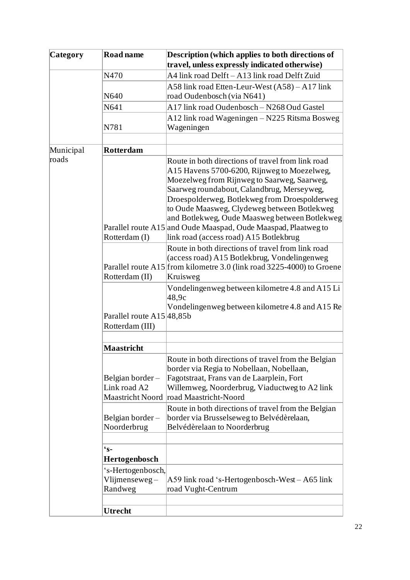| <b>Category</b> | <b>Road name</b>                                    | Description (which applies to both directions of                                                                                                                                                                                                                                                                                                                                                                                                           |  |  |  |  |
|-----------------|-----------------------------------------------------|------------------------------------------------------------------------------------------------------------------------------------------------------------------------------------------------------------------------------------------------------------------------------------------------------------------------------------------------------------------------------------------------------------------------------------------------------------|--|--|--|--|
|                 |                                                     | travel, unless expressly indicated otherwise)                                                                                                                                                                                                                                                                                                                                                                                                              |  |  |  |  |
|                 | N470                                                | A4 link road Delft – A13 link road Delft Zuid                                                                                                                                                                                                                                                                                                                                                                                                              |  |  |  |  |
|                 | N640                                                | A58 link road Etten-Leur-West (A58) – A17 link<br>road Oudenbosch (via N641)                                                                                                                                                                                                                                                                                                                                                                               |  |  |  |  |
|                 | N641                                                | A17 link road Oudenbosch – N268 Oud Gastel                                                                                                                                                                                                                                                                                                                                                                                                                 |  |  |  |  |
|                 |                                                     |                                                                                                                                                                                                                                                                                                                                                                                                                                                            |  |  |  |  |
|                 | N781                                                | A12 link road Wageningen – N225 Ritsma Bosweg<br>Wageningen                                                                                                                                                                                                                                                                                                                                                                                                |  |  |  |  |
|                 |                                                     |                                                                                                                                                                                                                                                                                                                                                                                                                                                            |  |  |  |  |
| Municipal       | Rotterdam                                           |                                                                                                                                                                                                                                                                                                                                                                                                                                                            |  |  |  |  |
| roads           | Rotterdam (I)                                       | Route in both directions of travel from link road<br>A15 Havens 5700-6200, Rijnweg to Moezelweg,<br>Moezelweg from Rijnweg to Saarweg, Saarweg,<br>Saarweg roundabout, Calandbrug, Merseyweg,<br>Droespolderweg, Botlekweg from Droespolderweg<br>to Oude Maasweg, Clydeweg between Botlekweg<br>and Botlekweg, Oude Maasweg between Botlekweg<br>Parallel route A15 and Oude Maaspad, Oude Maaspad, Plaatweg to<br>link road (access road) A15 Botlekbrug |  |  |  |  |
|                 | Rotterdam (II)                                      | Route in both directions of travel from link road<br>(access road) A15 Botlekbrug, Vondelingenweg<br>Parallel route A15 from kilometre 3.0 (link road 3225-4000) to Groene<br>Kruisweg                                                                                                                                                                                                                                                                     |  |  |  |  |
|                 | Parallel route A15 48,85b<br>Rotterdam (III)        | Vondelingenweg between kilometre 4.8 and A15 Li<br>48.9c<br>Vondelingenweg between kilometre 4.8 and A15 Re                                                                                                                                                                                                                                                                                                                                                |  |  |  |  |
|                 |                                                     |                                                                                                                                                                                                                                                                                                                                                                                                                                                            |  |  |  |  |
|                 | <b>Maastricht</b>                                   |                                                                                                                                                                                                                                                                                                                                                                                                                                                            |  |  |  |  |
|                 | Belgian border-<br>Link road A2<br>Maastricht Noord | Route in both directions of travel from the Belgian<br>border via Regia to Nobellaan, Nobellaan,<br>Fagotstraat, Frans van de Laarplein, Fort<br>Willemweg, Noorderbrug, Viaductweg to A2 link<br>road Maastricht-Noord                                                                                                                                                                                                                                    |  |  |  |  |
|                 | Belgian border-<br>Noorderbrug                      | Route in both directions of travel from the Belgian<br>border via Brusselseweg to Belvédèrelaan,<br>Belvédèrelaan to Noorderbrug                                                                                                                                                                                                                                                                                                                           |  |  |  |  |
|                 |                                                     |                                                                                                                                                                                                                                                                                                                                                                                                                                                            |  |  |  |  |
|                 | $\mathbf{s}$ -                                      |                                                                                                                                                                                                                                                                                                                                                                                                                                                            |  |  |  |  |
|                 | Hertogenbosch                                       |                                                                                                                                                                                                                                                                                                                                                                                                                                                            |  |  |  |  |
|                 | 's-Hertogenbosch,<br>Vlijmenseweg-<br>Randweg       | A59 link road 's-Hertogenbosch-West – A65 link<br>road Vught-Centrum                                                                                                                                                                                                                                                                                                                                                                                       |  |  |  |  |
|                 |                                                     |                                                                                                                                                                                                                                                                                                                                                                                                                                                            |  |  |  |  |
|                 | <b>Utrecht</b>                                      |                                                                                                                                                                                                                                                                                                                                                                                                                                                            |  |  |  |  |